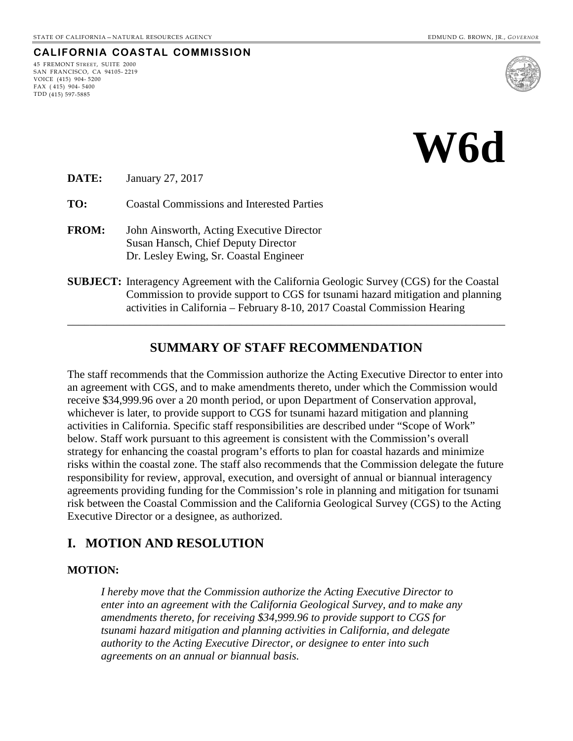# **CALIFORNIA COASTAL COMMISSION**

45 FREMONT STREET, SUITE 2000 SAN FRANCISCO, CA 94105- 2219 VOICE (415) 904- 5200 FAX ( 415) 904- 5400 TDD (415) 597-5885



# **W6d**

**DATE:** January 27, 2017

**TO:** Coastal Commissions and Interested Parties

**FROM:** John Ainsworth, Acting Executive Director Susan Hansch, Chief Deputy Director Dr. Lesley Ewing, Sr. Coastal Engineer

#### **SUBJECT:** Interagency Agreement with the California Geologic Survey (CGS) for the Coastal Commission to provide support to CGS for tsunami hazard mitigation and planning activities in California – February 8-10, 2017 Coastal Commission Hearing

## **SUMMARY OF STAFF RECOMMENDATION**

\_\_\_\_\_\_\_\_\_\_\_\_\_\_\_\_\_\_\_\_\_\_\_\_\_\_\_\_\_\_\_\_\_\_\_\_\_\_\_\_\_\_\_\_\_\_\_\_\_\_\_\_\_\_\_\_\_\_\_\_\_\_\_\_\_\_\_\_\_\_\_\_\_\_\_\_\_\_

The staff recommends that the Commission authorize the Acting Executive Director to enter into an agreement with CGS, and to make amendments thereto, under which the Commission would receive \$34,999.96 over a 20 month period, or upon Department of Conservation approval, whichever is later, to provide support to CGS for tsunami hazard mitigation and planning activities in California. Specific staff responsibilities are described under "Scope of Work" below. Staff work pursuant to this agreement is consistent with the Commission's overall strategy for enhancing the coastal program's efforts to plan for coastal hazards and minimize risks within the coastal zone. The staff also recommends that the Commission delegate the future responsibility for review, approval, execution, and oversight of annual or biannual interagency agreements providing funding for the Commission's role in planning and mitigation for tsunami risk between the Coastal Commission and the California Geological Survey (CGS) to the Acting Executive Director or a designee, as authorized.

## **I. MOTION AND RESOLUTION**

#### **MOTION:**

*I hereby move that the Commission authorize the Acting Executive Director to enter into an agreement with the California Geological Survey, and to make any amendments thereto, for receiving \$34,999.96 to provide support to CGS for tsunami hazard mitigation and planning activities in California, and delegate authority to the Acting Executive Director, or designee to enter into such agreements on an annual or biannual basis.*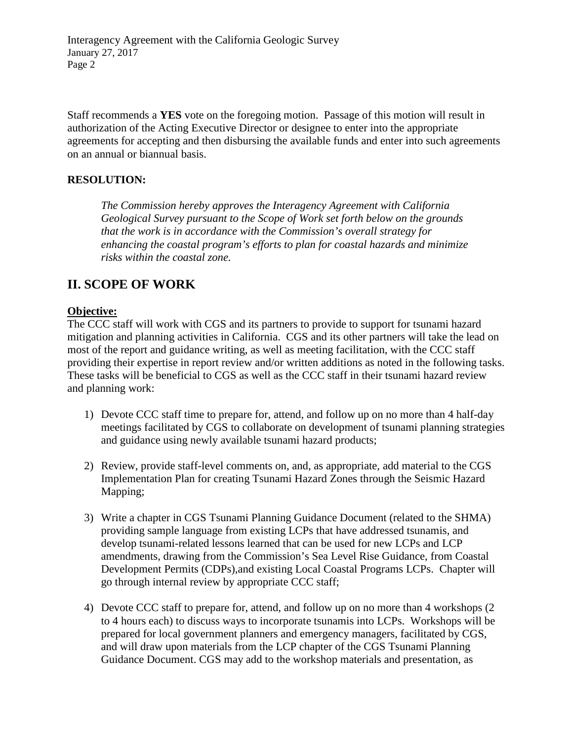Interagency Agreement with the California Geologic Survey January 27, 2017 Page 2

Staff recommends a **YES** vote on the foregoing motion. Passage of this motion will result in authorization of the Acting Executive Director or designee to enter into the appropriate agreements for accepting and then disbursing the available funds and enter into such agreements on an annual or biannual basis.

#### **RESOLUTION:**

*The Commission hereby approves the Interagency Agreement with California Geological Survey pursuant to the Scope of Work set forth below on the grounds that the work is in accordance with the Commission's overall strategy for enhancing the coastal program's efforts to plan for coastal hazards and minimize risks within the coastal zone.* 

## **II. SCOPE OF WORK**

#### **Objective:**

The CCC staff will work with CGS and its partners to provide to support for tsunami hazard mitigation and planning activities in California. CGS and its other partners will take the lead on most of the report and guidance writing, as well as meeting facilitation, with the CCC staff providing their expertise in report review and/or written additions as noted in the following tasks. These tasks will be beneficial to CGS as well as the CCC staff in their tsunami hazard review and planning work:

- 1) Devote CCC staff time to prepare for, attend, and follow up on no more than 4 half-day meetings facilitated by CGS to collaborate on development of tsunami planning strategies and guidance using newly available tsunami hazard products;
- 2) Review, provide staff-level comments on, and, as appropriate, add material to the CGS Implementation Plan for creating Tsunami Hazard Zones through the Seismic Hazard Mapping;
- 3) Write a chapter in CGS Tsunami Planning Guidance Document (related to the SHMA) providing sample language from existing LCPs that have addressed tsunamis, and develop tsunami-related lessons learned that can be used for new LCPs and LCP amendments, drawing from the Commission's Sea Level Rise Guidance, from Coastal Development Permits (CDPs),and existing Local Coastal Programs LCPs. Chapter will go through internal review by appropriate CCC staff;
- 4) Devote CCC staff to prepare for, attend, and follow up on no more than 4 workshops (2 to 4 hours each) to discuss ways to incorporate tsunamis into LCPs. Workshops will be prepared for local government planners and emergency managers, facilitated by CGS, and will draw upon materials from the LCP chapter of the CGS Tsunami Planning Guidance Document. CGS may add to the workshop materials and presentation, as